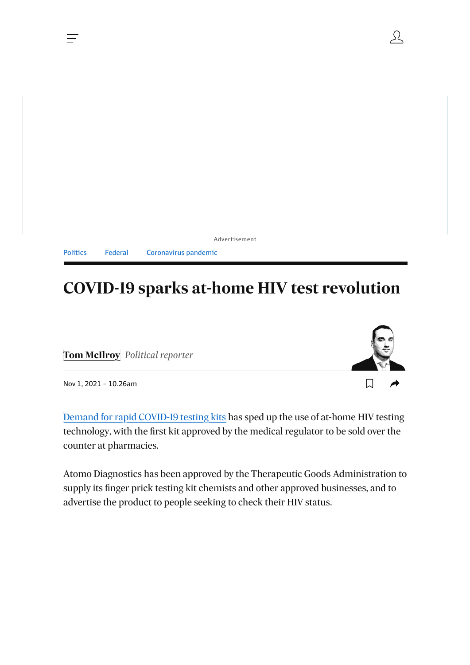|                 | Advertisement |                      |
|-----------------|---------------|----------------------|
| <b>Politics</b> | Federal       | Coronavirus pandemic |

# **COVID-19 sparks at-home HIV test revolution**

**[Tom McIlroy](https://www.afr.com/by/tom-mcilroy-hverk)** *Political reporter*

Nov 1, 2021 – 10.26am

[Demand for rapid COVID-19 testing kits](https://www.afr.com/link/follow-20180101-p58ptq) has sped up the use of at-home HIV testing technology, with the first kit approved by the medical regulator to be sold over the counter at pharmacies.

Atomo Diagnostics has been approved by the Therapeutic Goods Administration to supply its finger prick testing kit chemists and other approved businesses, and to advertise the product to people seeking to check their HIV status.

 $\Box$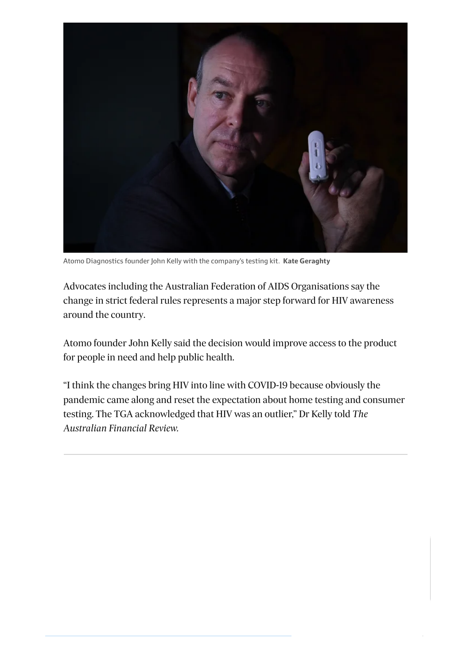

Atomo Diagnostics founder John Kelly with the company's testing kit. **Kate Geraghty**

Advocates including the Australian Federation of AIDS Organisations say the change in strict federal rules represents a major step forward for HIV awareness around the country.

Atomo founder John Kelly said the decision would improve access to the product for people in need and help public health.

"I think the changes bring HIV into line with COVID-19 because obviously the pandemic came along and reset the expectation about home testing and consumer testing. The TGA acknowledged that HIV was an outlier," Dr Kelly told *The Australian Financial Review.*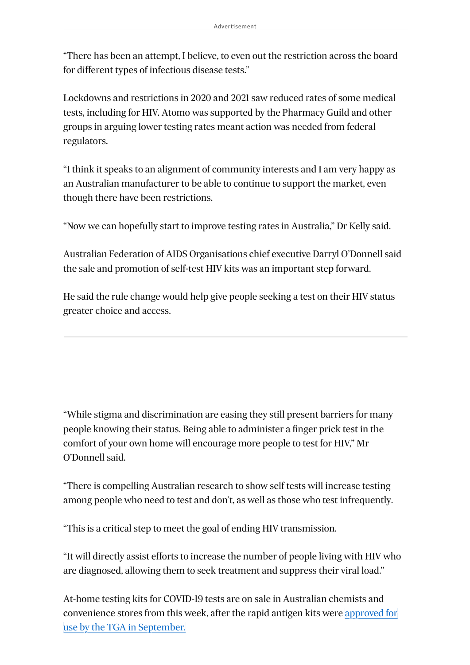"There has been an attempt, I believe, to even out the restriction across the board for different types of infectious disease tests."

Lockdowns and restrictions in 2020 and 2021 saw reduced rates of some medical tests, including for HIV. Atomo was supported by the Pharmacy Guild and other groups in arguing lower testing rates meant action was needed from federal regulators.

"I think it speaks to an alignment of community interests and I am very happy as an Australian manufacturer to be able to continue to support the market, even though there have been restrictions.

"Now we can hopefully start to improve testing rates in Australia," Dr Kelly said.

Australian Federation of AIDS Organisations chief executive Darryl O'Donnell said the sale and promotion of self-test HIV kits was an important step forward.

He said the rule change would help give people seeking a test on their HIV status greater choice and access.

"While stigma and discrimination are easing they still present barriers for many people knowing their status. Being able to administer a finger prick test in the comfort of your own home will encourage more people to test for HIV," Mr O'Donnell said.

"There is compelling Australian research to show self tests will increase testing among people who need to test and don't, as well as those who test infrequently.

"This is a critical step to meet the goal of ending HIV transmission.

"It will directly assist efforts to increase the number of people living with HIV who are diagnosed, allowing them to seek treatment and suppress their viral load."

At-home testing kits for COVID-19 tests are on sale in Australian chemists and [convenience stores from this week, after the rapid antigen kits were approved for](https://www.afr.com/link/follow-20180101-p58khi) use by the TGA in September.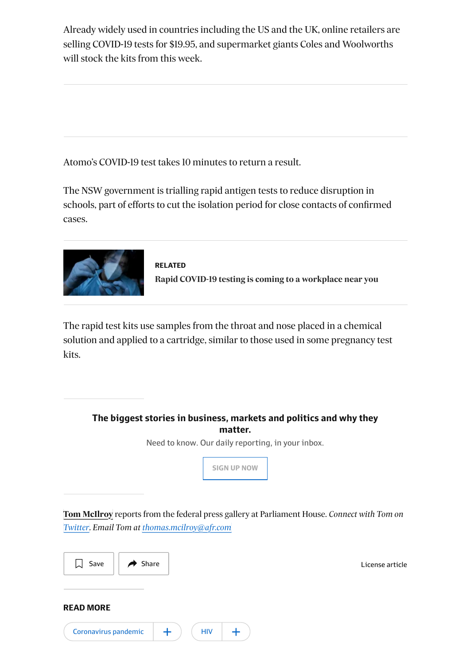Already widely used in countries including the US and the UK, online retailers are selling COVID-19 tests for \$19.95, and supermarket giants Coles and Woolworths will stock the kits from this week.

Atomo's COVID-19 test takes 10 minutes to return a result.

The NSW government is trialling rapid antigen tests to reduce disruption in schools, part of efforts to cut the isolation period for close contacts of confirmed cases.



**RELATED [Rapid COVID-19 testing is coming to a workplace near you](https://www.afr.com/politics/federal/rapid-covid-19-testing-is-coming-to-a-workplace-near-you-20210826-p58m5e)**

The rapid test kits use samples from the throat and nose placed in a chemical solution and applied to a cartridge, similar to those used in some pregnancy test kits.

**The biggest stories in business, markets and politics and why they matter.** Need to know. Our daily reporting, in your inbox. **[SIGN](https://login.myfairfax.com.au/signup_newsletter/10104?channel_key=9ME3ACTT4ZYY1fEMfvR2EA&callback_uri=https://www.afr.com) UP NOW [Tom McIlroy](https://www.afr.com/by/tom-mcilroy-hverk)** reports from the federal press gallery at Parliament House. *Connect with Tom on*

*[Twitter](https://twitter.com/TomMcIlroy?lang=en) . Email Tom at [thomas.mcilroy@afr.com](mailto:thomas.mcilroy@afr.com)*

 $\pm$ 



[Coronavirus](https://www.afr.com/topic/coronavirus-pandemic-1ndb) pandemic  $\left|\begin{array}{c} + \end{array}\right|$  ( [HIV](https://www.afr.com/topic/hiv-1nrp)

[License](http://rightsportal.copyright.com.au/pages/republicationpage.aspx?author=Tom%20McIlroy&publication=AFR&publicationdate=2021-10-31T23%3A26%3A45Z&publisher=fxj&title=COVID-19%20sparks%20at-home%20HIV%20test%20revolution&url=https%3A%2F%2Fwww.afr.com%2Fpolitics%2Ffederal%2Fcovid-19-sparks-at-home-hiv-test-revolution-20211031-p594mu) article

### **READ MORE**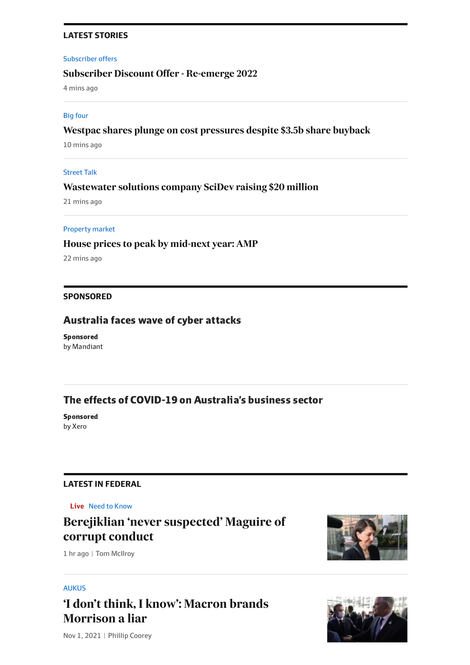#### **[LATEST STORIES](https://www.afr.com/latest)**

#### [Subscriber](https://www.afr.com/subscriber-benefits) offers

#### **[Subscriber Discount Offer - Re-emerge 2022](https://www.afr.com/companies/professional-services/subscriber-discount-offer-re-emerge-2022-20210709-p588ab)**

4 mins ago

#### Big [four](https://www.afr.com/topic/big-four-banks-5ux)

### Westpac shares plunge on cos[t pressures despite \\$3.5b share buy](https://www.afr.com/companies/financial-services/westpac-to-launch-a-3-5b-share-buyback-20211101-p594ti)back

10 mins ago

#### [Street](https://www.afr.com/street-talk) Talk

#### Wastew[ater solutions company SciDev r](https://www.afr.com/street-talk/wastewater-solutions-company-scidev-raising-20-million-20211101-p594vj)aising \$20 million

21 mins ago

#### [Property market](https://www.afr.com/topic/property-market-60w)

#### **[House prices to peak by mid-next year: AMP](https://www.afr.com/property/residential/house-prices-to-peak-by-mid-next-year-amp-20211101-p594ub)**

22 mins ago

#### **SPONSORED**

### [Australia](https://adclick.g.doubleclick.net/pcs/click?xai=AKAOjstsIzRTGLeBbyDNZI-p8WU0BkK-skvHU20SuNHvtTFIcyvV1zaW8sU-XwBm_3a684zhjk5AnMAoC5mf9YuxnXrzVW-TlUSX68Et3xdbb0IWoIUqyi8r-okFnnIyB8RHArgRKoturL34GfOSy6FXAVE5HtpIKpGjW4_mFRGNpt89i3yTz3NBMBGCLCUsYBNnQL98NjJV90PP7yokyf-R4ByuBzFcjcAZdJTf0aIvojLYeL1oUk44qZGLBIElOn1vkIwEKODeo1hnEatV6grtpExwRu5BsB0RWXJ4FrafR_JYFRruRLFH04SQQrR5fYQXIS7iVV6vGLgzfEVCn3x38bPwrlSVDw&sai=AMfl-YQM03NRWqJJE_sGIKlJTmnfL3_IURQhN4fCfnBfobBbar6lEd9YNHE1Y-Ql-95Ul2tjyraa_5Zql_wVd2u3EJIMfv3xhGAktjsd-c74&sig=Cg0ArKJSzF8kKpc3MA_REAE&fbs_aeid=[gw_fbsaeid]&urlfix=1&adurl=https://www.afr.com/technology/ransomware-as-a-service-amid-rising-geopolitical-tension-20210924-p58ugb) faces wave of cyber attacks

Sponsored by Mandiant

### The effects of COVID-19 on [Australia's](https://adclick.g.doubleclick.net/pcs/click?xai=AKAOjsu8jUJ1_NOCPHiKLVWKt6y5wX3fPIXAjJgyRbobMCEr262P4K-nl2RK9G2QjdeL_Y0TNuh1iCfJzt1aEC5yhyq8urzxv2NVhf1mCRam4ZL0y568IOJvAdTrW35sHqjLyPLEzZwv40aqiBB1t_54_Imtdn-D4lPp_Ua2fRbwDeS7QT0lIhN9RiS55Gn4mciaUSo6NfHDDrzpe7wn27QCu7C7ZfBHn1biTDkWFYI036MQwlYzEDPl2vg-02lRE3KK62WD4IK1NvIL4l2ns1Yz9Vlv1iCcETWe5EF9rXosvnPY2qxUvN24DMYw4daaEXZsvLh0Fk6C35B-JYqGZT8nmAkQM_xVNA&sai=AMfl-YTQvK9xcycI72T1-6wvj_Wh4wTVVafhnU5ojjQrIqTf3zPFQAfXDhcdqviaFRdzXa6OIkKSjEhzO-J43Z-9gguqMZSX1T3H_KQrvEZk&sig=Cg0ArKJSzBc_kpR1SbecEAE&fbs_aeid=[gw_fbsaeid]&urlfix=1&adurl=https://brandedcontent.afr.com/xero/professionals-turn-start-up-success/) business sector

Sponsored by Xero

#### **LATEST IN FEDERAL**

**Live** Need to [Know](https://www.afr.com/topic/need-to-know--afr-only--1nlv)

## **[Berejiklian 'never suspected' Maguire of](https://www.afr.com/politics/federal/quarantine-free-flights-touch-down-in-sydney-20211101-p594tt) corrupt conduct**



1 hr ago | Tom McIlroy

#### [AUKUS](https://www.afr.com/topic/aukus-1nty)

## **['I don't think, I know': Macron brands](https://www.afr.com/politics/federal/pm-fumes-after-macron-brands-him-a-liar-20211101-p594t8) Morrison a liar**



Nov 1, 2021 | Phillip Coorey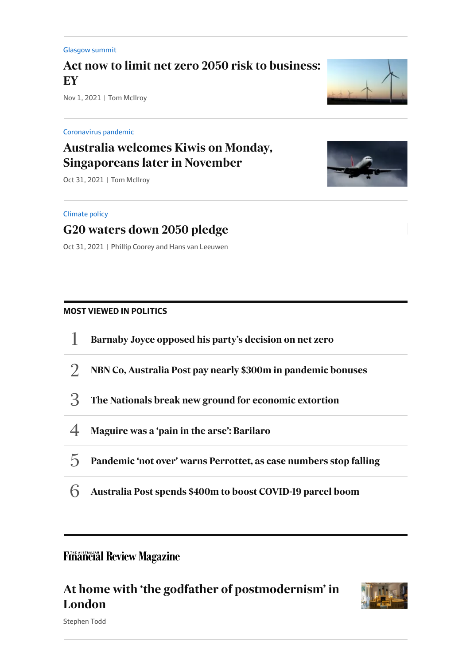#### [Glasgow](https://www.afr.com/topic/glasgow-summit-1nsz) summit

## **[Act now to limit net zero 2050 risk to business:](https://www.afr.com/politics/federal/act-now-to-limit-net-zero-2050-risk-to-business-ey-20211031-p594ps) EY**

Nov 1, 2021 | Tom McIlroy



[Coronavirus](https://www.afr.com/topic/coronavirus-pandemic-1ndb) pandemic

## **AAAususustrtrtralia w alia w [alia welcomes Kiwis on Monda](https://www.afr.com/politics/federal/australia-welcomes-kiwis-on-monday-singaporeans-later-in-november-20211031-p594mv) elcomes Kiwis on Monda elcomes Kiwis on Monda elcomes Kiwis on Monda elcomes Kiwis on Monday, y, y, Singap Singap Singaporeans later in N oreans later in N oreans later in N oreans later in N oreans later in Nooovvvemb emb embererer**

Oct 31, 2021 | Tom McIlroy

#### [Climate](https://www.afr.com/topic/climate-policy-1mpo) policy

### **[G20 waters down 2050 pledge](https://www.afr.com/politics/federal/g20-waters-down-2050-pledge-20211030-p594lr)**

Oct 31, 2021 | Phillip Coorey and Hans van Leeuwen

#### **MOST VIEWED IN POLITICS**

- **Barnaby Joyce opposed his part[y's decision on net zero](https://www.afr.com/politics/federal/barnaby-joyce-opposed-his-party-s-decision-on-net-zero-20211025-p592s2)**
- 7 NBN Co, Australia Post pa[y nearly \\$300m in pandemic bonuses](https://www.afr.com/politics/federal/nbn-co-australia-post-pay-nearly-300m-in-pandemic-bonuses-20211025-p592y3)
- 3 **[The Nationals break new ground for economic extortion](https://www.afr.com/politics/federal/the-lion-of-bundaberg-shows-how-it-s-done-20211025-p592xs)**
- 4 **[Maguire was a 'pain in the arse': Barilaro](https://www.afr.com/politics/daryl-maguire-was-a-pain-in-the-arse-barilaro-20211025-p592x6)**
- 5 Pandemic 'not over' w[arns Perrottet, as case numb](https://www.afr.com/politics/pandemic-not-over-warns-perrottet-as-case-numbers-stop-falling-20211025-p592so)ers stop falling
- $\hat{6}$  Australia Post spends \$400m to boost COVID-19 parcel boom

**Financial Review Magazine** 

A[t home with 'the godfather of p](https://www.afr.com/life-and-luxury/design/at-home-with-the-godfather-of-postmodernism-in-london-20210913-p58r8d)ostmodernism' in **London**



Stephen Todd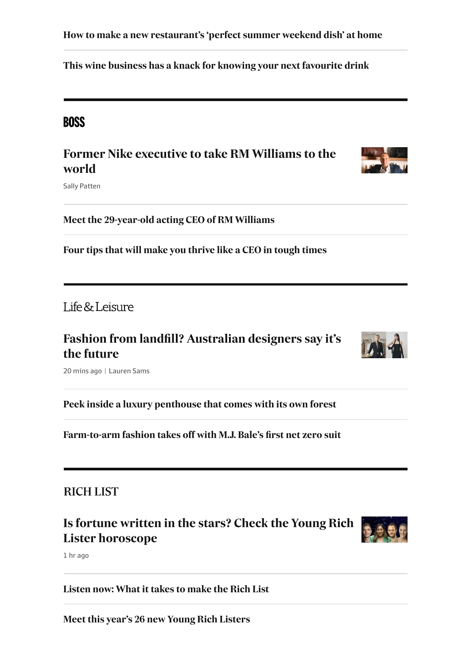### How to make a new restaurant's 'perfect summer weekend dish' at home

[This wine business has a knack for kno](https://www.afr.com/life-and-luxury/food-and-wine/this-wine-business-has-a-knack-for-knowing-your-next-favourite-drink-20210913-p58r8g)wing your next favourite drink

## **BOSS**

### Former Nike executive to tak[e RM Williams to the](https://www.afr.com/work-and-careers/leaders/former-nike-executive-to-take-rm-williams-to-the-world-20211027-p593pa) **world**

Sally Patten

**[Meet the 29-year-old acting CEO of RM Williams](https://www.afr.com/work-and-careers/leaders/meet-the-29-year-old-acting-ceo-of-rm-williams-20211026-p5933j)**

Four tips that will make you thrive like a CEO in tough times

Life & Leisure

## Fashion from landfill? Australian designers say it's **the future**

20 mins ago | Lauren Sams

Peek inside a luxury penthouse that comes with its own forest

F[arm-to-arm fashion takes off with M.J](https://www.afr.com/life-and-luxury/fashion-and-style/farm-to-arm-fashion-takes-off-with-m-j-bale-s-first-net-zero-suit-20211018-p590ty). Bale's first net zero suit

### **RICH LIST**

### **[Is fortune written in the stars? Check the Young Rich](https://www.afr.com/young-rich/is-fortune-written-in-the-stars-check-the-young-rich-lister-horoscope-20211027-p593sj) Lister horoscope**



Listen no[w: What it takes to mak](https://www.afr.com/wealth/people/what-it-takes-to-make-the-rich-list-20211028-p593wn)e the Rich List

**[Meet this year's 26 new Young Rich Listers](https://www.afr.com/young-rich/meet-this-year-s-26-new-young-rich-listers-20211026-p593f9)**